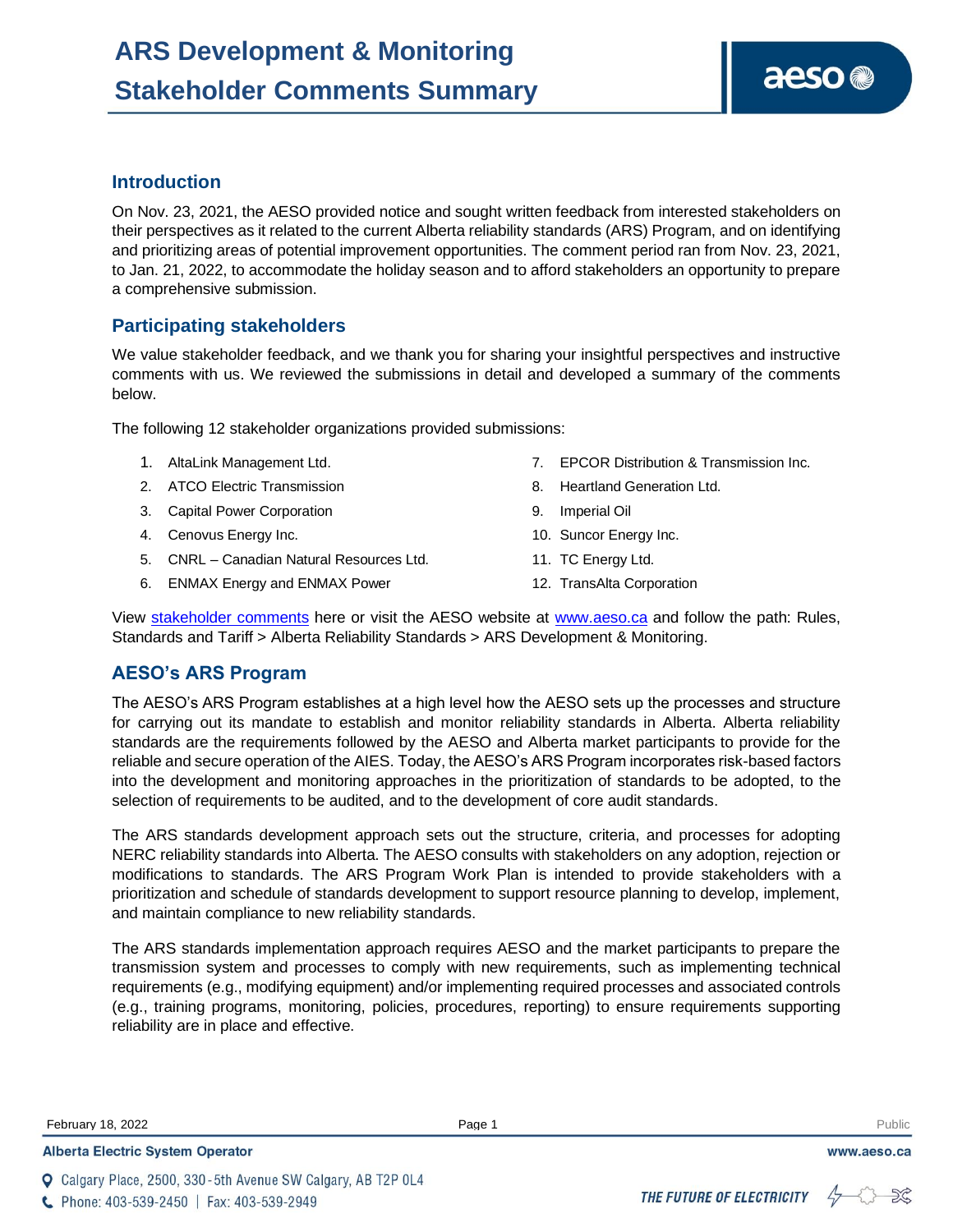# **Introduction**

On Nov. 23, 2021, the AESO provided notice and sought written feedback from interested stakeholders on their perspectives as it related to the current Alberta reliability standards (ARS) Program, and on identifying and prioritizing areas of potential improvement opportunities. The comment period ran from Nov. 23, 2021, to Jan. 21, 2022, to accommodate the holiday season and to afford stakeholders an opportunity to prepare a comprehensive submission.

# **Participating stakeholders**

We value stakeholder feedback, and we thank you for sharing your insightful perspectives and instructive comments with us. We reviewed the submissions in detail and developed a summary of the comments below.

The following 12 stakeholder organizations provided submissions:

- 1. AltaLink Management Ltd.
- 2. ATCO Electric Transmission
- 3. Capital Power Corporation
- 4. Cenovus Energy Inc.
- 5. CNRL Canadian Natural Resources Ltd.
- 6. ENMAX Energy and ENMAX Power

7. EPCOR Distribution & Transmission Inc.

aeso<sup>®</sup>

- 8. Heartland Generation Ltd.
- 9. Imperial Oil
- 10. Suncor Energy Inc.
- 11. TC Energy Ltd.
- 12. TransAlta Corporation

View [stakeholder comments](https://www.aeso.ca/assets/Uploads/ars/ars-development-monitoring-comments-01-2022.pdf) here or visit the AESO website at [www.aeso.ca](http://www.aeso.ca/) and follow the path: Rules, Standards and Tariff > Alberta Reliability Standards > ARS Development & Monitoring.

# **AESO's ARS Program**

The AESO's ARS Program establishes at a high level how the AESO sets up the processes and structure for carrying out its mandate to establish and monitor reliability standards in Alberta. Alberta reliability standards are the requirements followed by the AESO and Alberta market participants to provide for the reliable and secure operation of the AIES. Today, the AESO's ARS Program incorporates risk-based factors into the development and monitoring approaches in the prioritization of standards to be adopted, to the selection of requirements to be audited, and to the development of core audit standards.

The ARS standards development approach sets out the structure, criteria, and processes for adopting NERC reliability standards into Alberta. The AESO consults with stakeholders on any adoption, rejection or modifications to standards. The ARS Program Work Plan is intended to provide stakeholders with a prioritization and schedule of standards development to support resource planning to develop, implement, and maintain compliance to new reliability standards.

The ARS standards implementation approach requires AESO and the market participants to prepare the transmission system and processes to comply with new requirements, such as implementing technical requirements (e.g., modifying equipment) and/or implementing required processes and associated controls (e.g., training programs, monitoring, policies, procedures, reporting) to ensure requirements supporting reliability are in place and effective.

**February 18, 2022** Page 1 **Public Page 1** Public Public Public Public Public Public Public Public Public Public Public Public Public Public Public Public Public Public Public Public Public Public Public Public Public Publ

**Alberta Electric System Operator** 



www.aeso.ca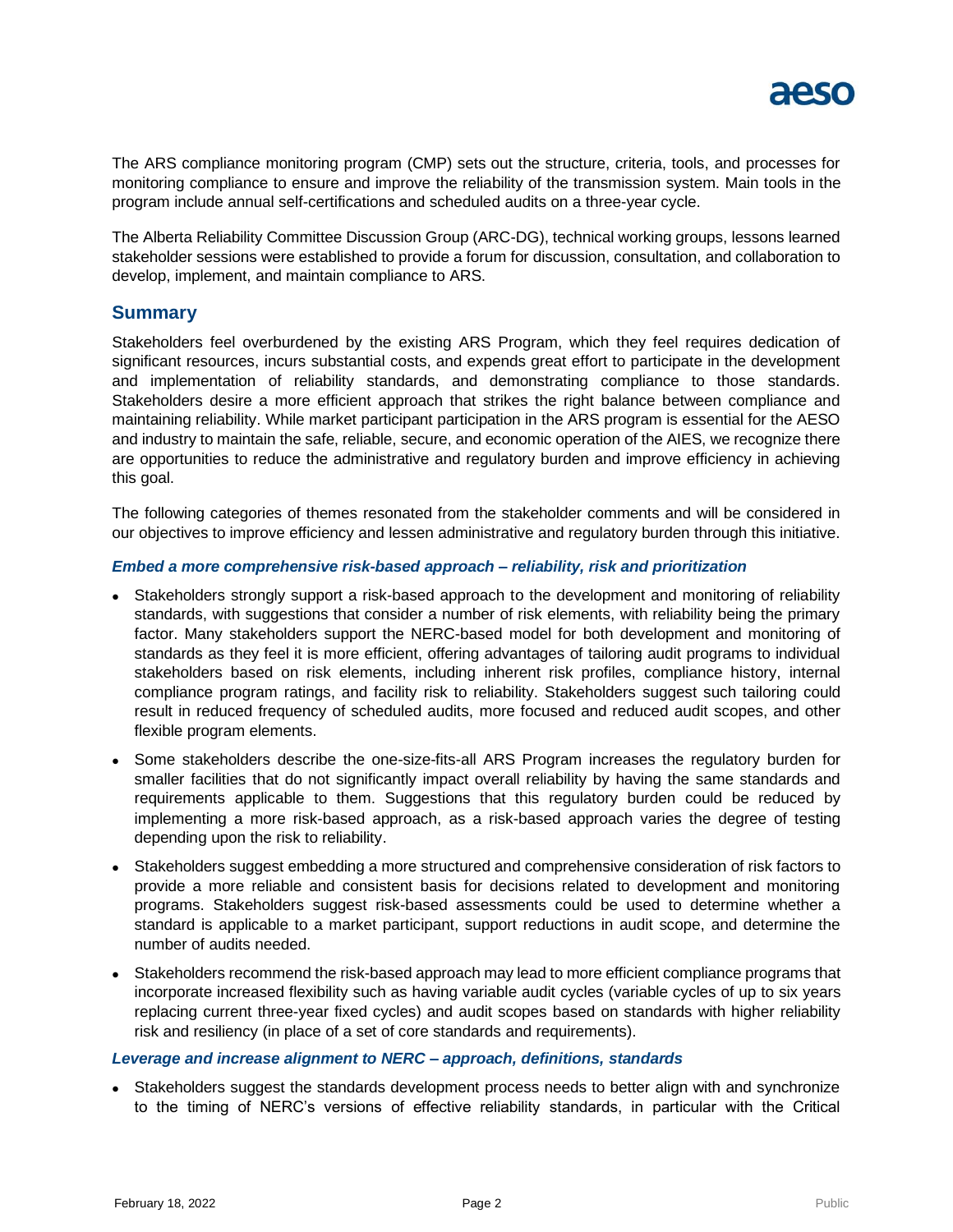

The ARS compliance monitoring program (CMP) sets out the structure, criteria, tools, and processes for monitoring compliance to ensure and improve the reliability of the transmission system. Main tools in the program include annual self-certifications and scheduled audits on a three-year cycle.

The Alberta Reliability Committee Discussion Group (ARC-DG), technical working groups, lessons learned stakeholder sessions were established to provide a forum for discussion, consultation, and collaboration to develop, implement, and maintain compliance to ARS.

## **Summary**

Stakeholders feel overburdened by the existing ARS Program, which they feel requires dedication of significant resources, incurs substantial costs, and expends great effort to participate in the development and implementation of reliability standards, and demonstrating compliance to those standards. Stakeholders desire a more efficient approach that strikes the right balance between compliance and maintaining reliability. While market participant participation in the ARS program is essential for the AESO and industry to maintain the safe, reliable, secure, and economic operation of the AIES, we recognize there are opportunities to reduce the administrative and regulatory burden and improve efficiency in achieving this goal.

The following categories of themes resonated from the stakeholder comments and will be considered in our objectives to improve efficiency and lessen administrative and regulatory burden through this initiative.

### *Embed a more comprehensive risk-based approach – reliability, risk and prioritization*

- ⚫ Stakeholders strongly support a risk-based approach to the development and monitoring of reliability standards, with suggestions that consider a number of risk elements, with reliability being the primary factor. Many stakeholders support the NERC-based model for both development and monitoring of standards as they feel it is more efficient, offering advantages of tailoring audit programs to individual stakeholders based on risk elements, including inherent risk profiles, compliance history, internal compliance program ratings, and facility risk to reliability. Stakeholders suggest such tailoring could result in reduced frequency of scheduled audits, more focused and reduced audit scopes, and other flexible program elements.
- ⚫ Some stakeholders describe the one-size-fits-all ARS Program increases the regulatory burden for smaller facilities that do not significantly impact overall reliability by having the same standards and requirements applicable to them. Suggestions that this regulatory burden could be reduced by implementing a more risk-based approach, as a risk-based approach varies the degree of testing depending upon the risk to reliability.
- ⚫ Stakeholders suggest embedding a more structured and comprehensive consideration of risk factors to provide a more reliable and consistent basis for decisions related to development and monitoring programs. Stakeholders suggest risk-based assessments could be used to determine whether a standard is applicable to a market participant, support reductions in audit scope, and determine the number of audits needed.
- Stakeholders recommend the risk-based approach may lead to more efficient compliance programs that incorporate increased flexibility such as having variable audit cycles (variable cycles of up to six years replacing current three-year fixed cycles) and audit scopes based on standards with higher reliability risk and resiliency (in place of a set of core standards and requirements).

#### *Leverage and increase alignment to NERC – approach, definitions, standards*

⚫ Stakeholders suggest the standards development process needs to better align with and synchronize to the timing of NERC's versions of effective reliability standards, in particular with the Critical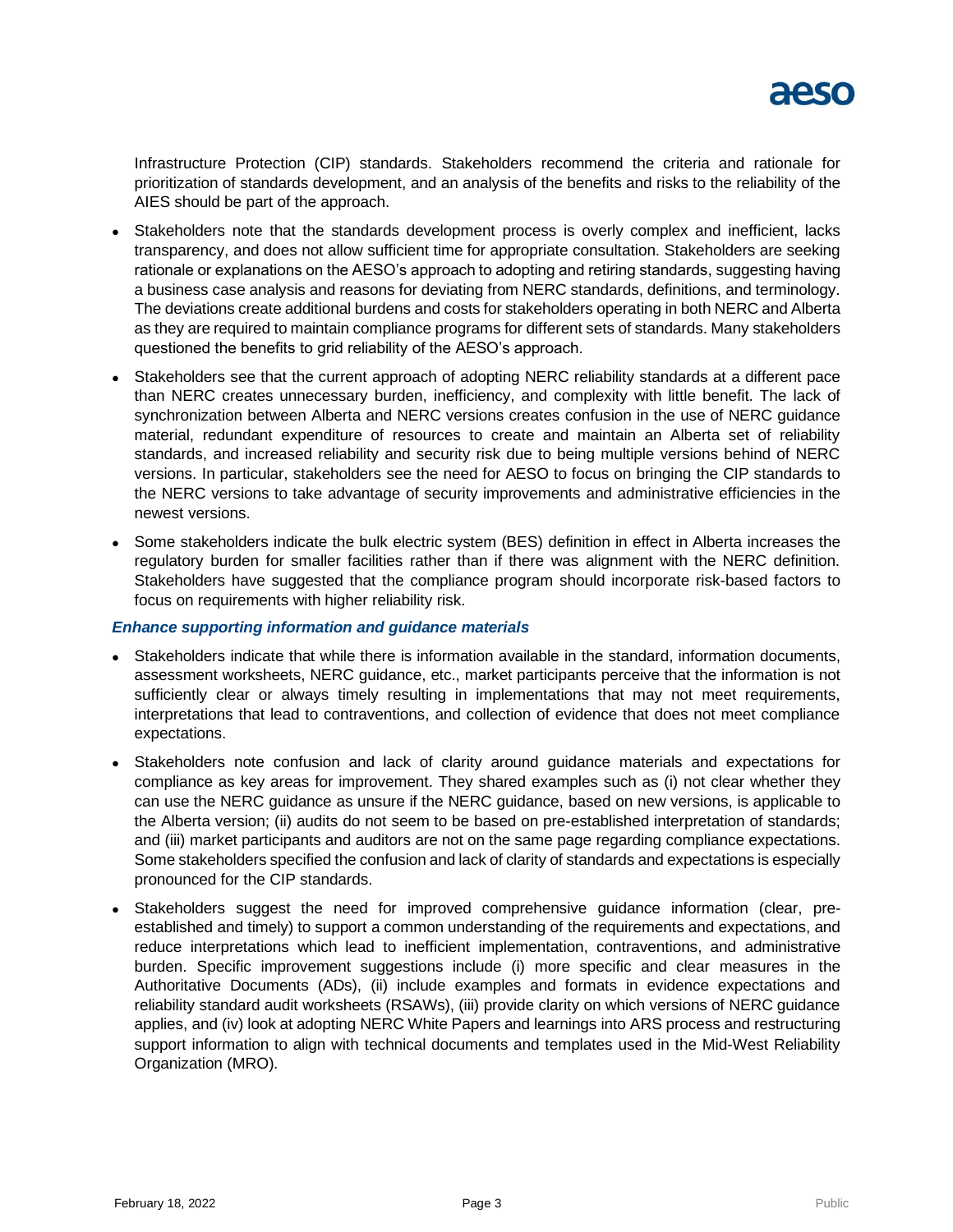

Infrastructure Protection (CIP) standards. Stakeholders recommend the criteria and rationale for prioritization of standards development, and an analysis of the benefits and risks to the reliability of the AIES should be part of the approach.

- ⚫ Stakeholders note that the standards development process is overly complex and inefficient, lacks transparency, and does not allow sufficient time for appropriate consultation. Stakeholders are seeking rationale or explanations on the AESO's approach to adopting and retiring standards, suggesting having a business case analysis and reasons for deviating from NERC standards, definitions, and terminology. The deviations create additional burdens and costs for stakeholders operating in both NERC and Alberta as they are required to maintain compliance programs for different sets of standards. Many stakeholders questioned the benefits to grid reliability of the AESO's approach.
- ⚫ Stakeholders see that the current approach of adopting NERC reliability standards at a different pace than NERC creates unnecessary burden, inefficiency, and complexity with little benefit. The lack of synchronization between Alberta and NERC versions creates confusion in the use of NERC guidance material, redundant expenditure of resources to create and maintain an Alberta set of reliability standards, and increased reliability and security risk due to being multiple versions behind of NERC versions. In particular, stakeholders see the need for AESO to focus on bringing the CIP standards to the NERC versions to take advantage of security improvements and administrative efficiencies in the newest versions.
- ⚫ Some stakeholders indicate the bulk electric system (BES) definition in effect in Alberta increases the regulatory burden for smaller facilities rather than if there was alignment with the NERC definition. Stakeholders have suggested that the compliance program should incorporate risk-based factors to focus on requirements with higher reliability risk.

### *Enhance supporting information and guidance materials*

- ⚫ Stakeholders indicate that while there is information available in the standard, information documents, assessment worksheets, NERC guidance, etc., market participants perceive that the information is not sufficiently clear or always timely resulting in implementations that may not meet requirements, interpretations that lead to contraventions, and collection of evidence that does not meet compliance expectations.
- ⚫ Stakeholders note confusion and lack of clarity around guidance materials and expectations for compliance as key areas for improvement. They shared examples such as (i) not clear whether they can use the NERC guidance as unsure if the NERC guidance, based on new versions, is applicable to the Alberta version; (ii) audits do not seem to be based on pre-established interpretation of standards; and (iii) market participants and auditors are not on the same page regarding compliance expectations. Some stakeholders specified the confusion and lack of clarity of standards and expectations is especially pronounced for the CIP standards.
- ⚫ Stakeholders suggest the need for improved comprehensive guidance information (clear, preestablished and timely) to support a common understanding of the requirements and expectations, and reduce interpretations which lead to inefficient implementation, contraventions, and administrative burden. Specific improvement suggestions include (i) more specific and clear measures in the Authoritative Documents (ADs), (ii) include examples and formats in evidence expectations and reliability standard audit worksheets (RSAWs), (iii) provide clarity on which versions of NERC guidance applies, and (iv) look at adopting NERC White Papers and learnings into ARS process and restructuring support information to align with technical documents and templates used in the Mid-West Reliability Organization (MRO).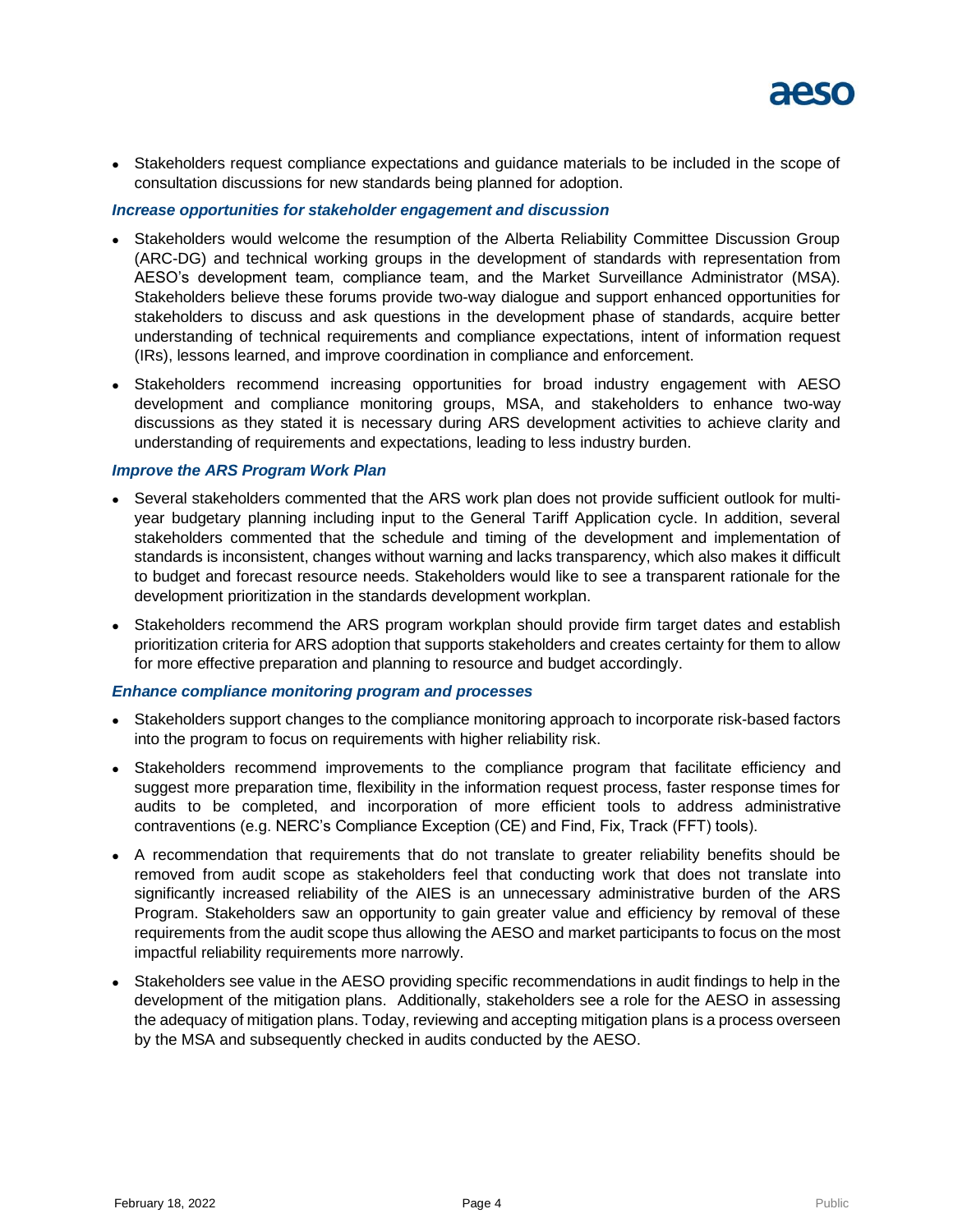⚫ Stakeholders request compliance expectations and guidance materials to be included in the scope of consultation discussions for new standards being planned for adoption.

## *Increase opportunities for stakeholder engagement and discussion*

- ⚫ Stakeholders would welcome the resumption of the Alberta Reliability Committee Discussion Group (ARC-DG) and technical working groups in the development of standards with representation from AESO's development team, compliance team, and the Market Surveillance Administrator (MSA). Stakeholders believe these forums provide two-way dialogue and support enhanced opportunities for stakeholders to discuss and ask questions in the development phase of standards, acquire better understanding of technical requirements and compliance expectations, intent of information request (IRs), lessons learned, and improve coordination in compliance and enforcement.
- ⚫ Stakeholders recommend increasing opportunities for broad industry engagement with AESO development and compliance monitoring groups, MSA, and stakeholders to enhance two-way discussions as they stated it is necessary during ARS development activities to achieve clarity and understanding of requirements and expectations, leading to less industry burden.

### *Improve the ARS Program Work Plan*

- ⚫ Several stakeholders commented that the ARS work plan does not provide sufficient outlook for multiyear budgetary planning including input to the General Tariff Application cycle. In addition, several stakeholders commented that the schedule and timing of the development and implementation of standards is inconsistent, changes without warning and lacks transparency, which also makes it difficult to budget and forecast resource needs. Stakeholders would like to see a transparent rationale for the development prioritization in the standards development workplan.
- Stakeholders recommend the ARS program workplan should provide firm target dates and establish prioritization criteria for ARS adoption that supports stakeholders and creates certainty for them to allow for more effective preparation and planning to resource and budget accordingly.

### *Enhance compliance monitoring program and processes*

- ⚫ Stakeholders support changes to the compliance monitoring approach to incorporate risk-based factors into the program to focus on requirements with higher reliability risk.
- Stakeholders recommend improvements to the compliance program that facilitate efficiency and suggest more preparation time, flexibility in the information request process, faster response times for audits to be completed, and incorporation of more efficient tools to address administrative contraventions (e.g. NERC's Compliance Exception (CE) and Find, Fix, Track (FFT) tools).
- ⚫ A recommendation that requirements that do not translate to greater reliability benefits should be removed from audit scope as stakeholders feel that conducting work that does not translate into significantly increased reliability of the AIES is an unnecessary administrative burden of the ARS Program. Stakeholders saw an opportunity to gain greater value and efficiency by removal of these requirements from the audit scope thus allowing the AESO and market participants to focus on the most impactful reliability requirements more narrowly.
- ⚫ Stakeholders see value in the AESO providing specific recommendations in audit findings to help in the development of the mitigation plans. Additionally, stakeholders see a role for the AESO in assessing the adequacy of mitigation plans. Today, reviewing and accepting mitigation plans is a process overseen by the MSA and subsequently checked in audits conducted by the AESO.